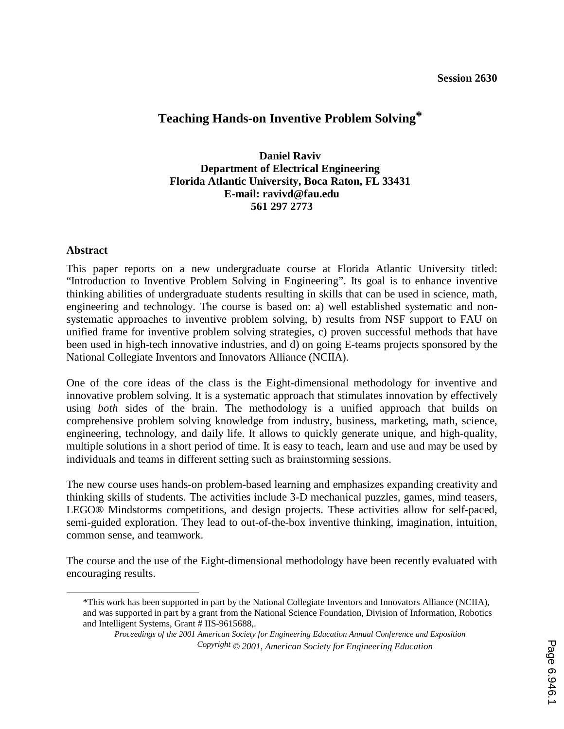# **Teaching Hands-on Inventive Problem Solving\***

### **Daniel Raviv Department of Electrical Engineering Florida Atlantic University, Boca Raton, FL 33431 E-mail: ravivd@fau.edu 561 297 2773**

#### **Abstract**

This paper reports on a new undergraduate course at Florida Atlantic University titled: "Introduction to Inventive Problem Solving in Engineering". Its goal is to enhance inventive thinking abilities of undergraduate students resulting in skills that can be used in science, math, engineering and technology. The course is based on: a) well established systematic and nonsystematic approaches to inventive problem solving, b) results from NSF support to FAU on unified frame for inventive problem solving strategies, c) proven successful methods that have been used in high-tech innovative industries, and d) on going E-teams projects sponsored by the National Collegiate Inventors and Innovators Alliance (NCIIA).

One of the core ideas of the class is the Eight-dimensional methodology for inventive and innovative problem solving. It is a systematic approach that stimulates innovation by effectively using *both* sides of the brain. The methodology is a unified approach that builds on comprehensive problem solving knowledge from industry, business, marketing, math, science, engineering, technology, and daily life. It allows to quickly generate unique, and high-quality, multiple solutions in a short period of time. It is easy to teach, learn and use and may be used by individuals and teams in different setting such as brainstorming sessions.

The new course uses hands-on problem-based learning and emphasizes expanding creativity and thinking skills of students. The activities include 3-D mechanical puzzles, games, mind teasers, LEGO® Mindstorms competitions, and design projects. These activities allow for self-paced, semi-guided exploration. They lead to out-of-the-box inventive thinking, imagination, intuition, common sense, and teamwork.

The course and the use of the Eight-dimensional methodology have been recently evaluated with encouraging results.

 <sup>\*</sup>This work has been supported in part by the National Collegiate Inventors and Innovators Alliance (NCIIA), and was supported in part by a grant from the National Science Foundation, Division of Information, Robotics and Intelligent Systems, Grant # IIS-9615688,.

*Proceedings of the 2001 American Society for Engineering Education Annual Conference and Exposition Copyright © 2001, American Society for Engineering Education*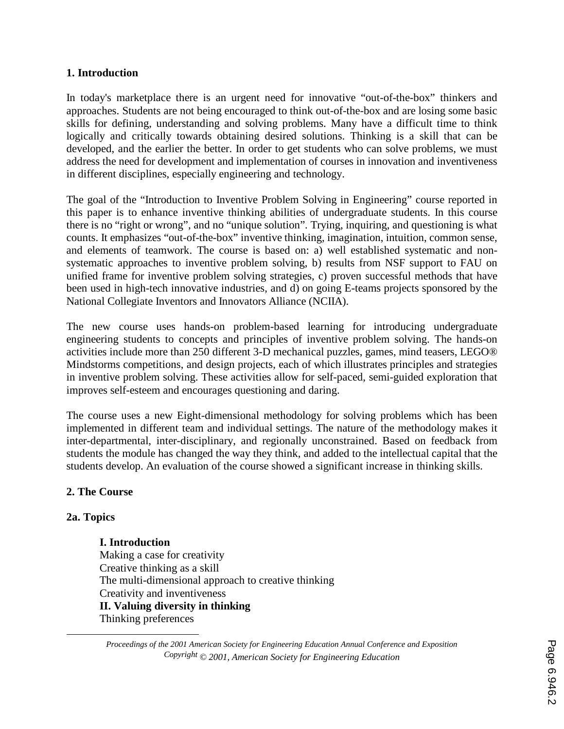#### **1. Introduction**

In today's marketplace there is an urgent need for innovative "out-of-the-box" thinkers and approaches. Students are not being encouraged to think out-of-the-box and are losing some basic skills for defining, understanding and solving problems. Many have a difficult time to think logically and critically towards obtaining desired solutions. Thinking is a skill that can be developed, and the earlier the better. In order to get students who can solve problems, we must address the need for development and implementation of courses in innovation and inventiveness in different disciplines, especially engineering and technology.

The goal of the "Introduction to Inventive Problem Solving in Engineering" course reported in this paper is to enhance inventive thinking abilities of undergraduate students. In this course there is no "right or wrong", and no "unique solution"*.* Trying, inquiring, and questioning is what counts. It emphasizes "out-of-the-box" inventive thinking, imagination, intuition, common sense, and elements of teamwork. The course is based on: a) well established systematic and nonsystematic approaches to inventive problem solving, b) results from NSF support to FAU on unified frame for inventive problem solving strategies, c) proven successful methods that have been used in high-tech innovative industries, and d) on going E-teams projects sponsored by the National Collegiate Inventors and Innovators Alliance (NCIIA).

The new course uses hands-on problem-based learning for introducing undergraduate engineering students to concepts and principles of inventive problem solving. The hands-on activities include more than 250 different 3-D mechanical puzzles, games, mind teasers, LEGO® Mindstorms competitions, and design projects, each of which illustrates principles and strategies in inventive problem solving. These activities allow for self-paced, semi-guided exploration that improves self-esteem and encourages questioning and daring.

The course uses a new Eight-dimensional methodology for solving problems which has been implemented in different team and individual settings. The nature of the methodology makes it inter-departmental, inter-disciplinary, and regionally unconstrained. Based on feedback from students the module has changed the way they think, and added to the intellectual capital that the students develop. An evaluation of the course showed a significant increase in thinking skills.

### **2. The Course**

#### **2a. Topics**

 $\overline{a}$ 

**I. Introduction**  Making a case for creativity Creative thinking as a skill The multi-dimensional approach to creative thinking Creativity and inventiveness **II. Valuing diversity in thinking**  Thinking preferences

*Proceedings of the 2001 American Society for Engineering Education Annual Conference and Exposition Copyright © 2001, American Society for Engineering Education*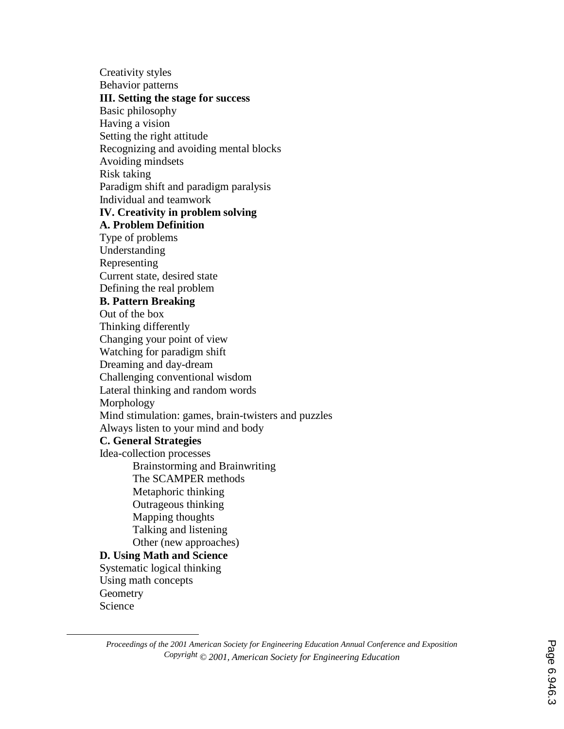Creativity styles Behavior patterns **III. Setting the stage for success**  Basic philosophy Having a vision Setting the right attitude Recognizing and avoiding mental blocks Avoiding mindsets Risk taking Paradigm shift and paradigm paralysis Individual and teamwork **IV. Creativity in problem solving A. Problem Definition**  Type of problems Understanding Representing Current state, desired state Defining the real problem **B. Pattern Breaking**  Out of the box Thinking differently Changing your point of view Watching for paradigm shift Dreaming and day-dream Challenging conventional wisdom Lateral thinking and random words Morphology Mind stimulation: games, brain-twisters and puzzles Always listen to your mind and body **C. General Strategies**  Idea-collection processes Brainstorming and Brainwriting The SCAMPER methods Metaphoric thinking Outrageous thinking Mapping thoughts Talking and listening Other (new approaches) **D. Using Math and Science**  Systematic logical thinking Using math concepts **Geometry** Science

 $\overline{a}$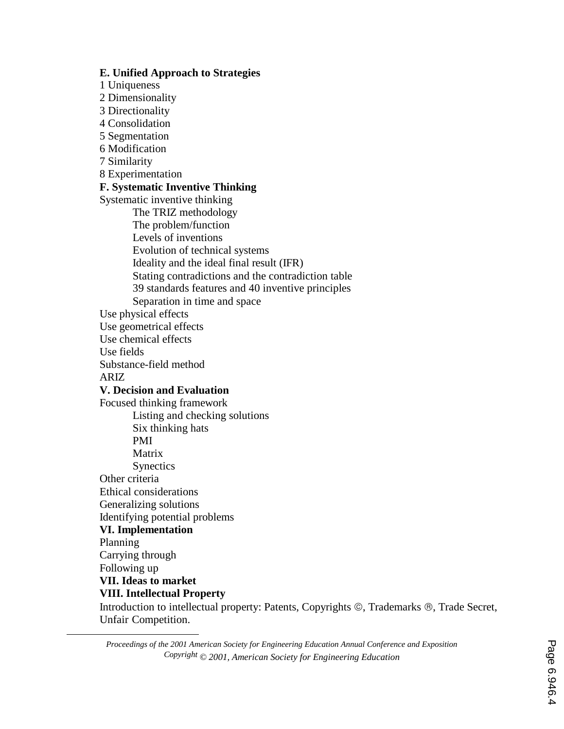**E. Unified Approach to Strategies**  1 Uniqueness 2 Dimensionality 3 Directionality 4 Consolidation 5 Segmentation 6 Modification 7 Similarity 8 Experimentation **F. Systematic Inventive Thinking**  Systematic inventive thinking The TRIZ methodology The problem/function Levels of inventions Evolution of technical systems Ideality and the ideal final result (IFR) Stating contradictions and the contradiction table 39 standards features and 40 inventive principles Separation in time and space Use physical effects Use geometrical effects Use chemical effects Use fields Substance-field method ARIZ **V. Decision and Evaluation**  Focused thinking framework Listing and checking solutions Six thinking hats PMI Matrix Synectics Other criteria Ethical considerations Generalizing solutions Identifying potential problems **VI. Implementation** Planning Carrying through Following up **VII. Ideas to market VIII. Intellectual Property** 

 $\overline{a}$ 

Introduction to intellectual property: Patents, Copyrights ©, Trademarks ®, Trade Secret, Unfair Competition.

*Proceedings of the 2001 American Society for Engineering Education Annual Conference and Exposition Copyright © 2001, American Society for Engineering Education*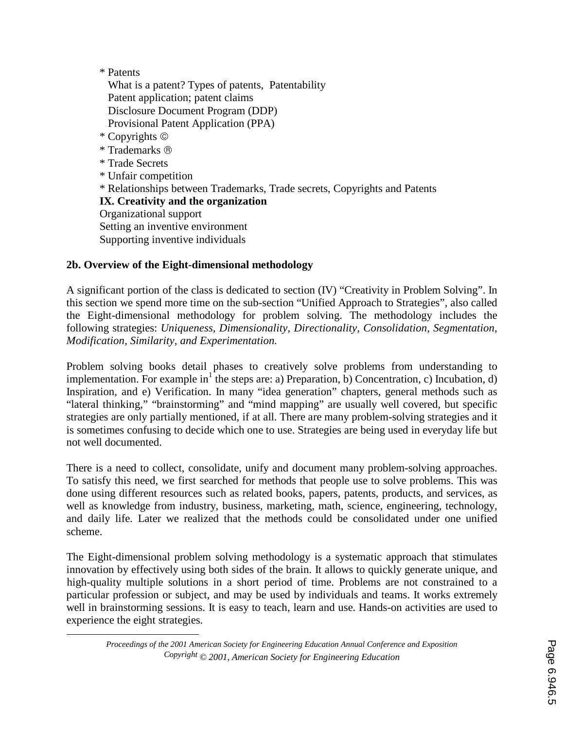### \* Patents

 $\overline{a}$ 

 What is a patent? Types of patents, Patentability Patent application; patent claims Disclosure Document Program (DDP) Provisional Patent Application (PPA) \* Copyrights \* Trademarks \* Trade Secrets \* Unfair competition \* Relationships between Trademarks, Trade secrets, Copyrights and Patents **IX. Creativity and the organization**  Organizational support Setting an inventive environment Supporting inventive individuals

### **2b. Overview of the Eight-dimensional methodology**

A significant portion of the class is dedicated to section (IV) "Creativity in Problem Solving". In this section we spend more time on the sub-section "Unified Approach to Strategies", also called the Eight-dimensional methodology for problem solving. The methodology includes the following strategies: *Uniqueness, Dimensionality, Directionality, Consolidation, Segmentation, Modification, Similarity, and Experimentation.*

Problem solving books detail phases to creatively solve problems from understanding to implementation. For example in<sup>1</sup> the steps are: a) Preparation, b) Concentration, c) Incubation, d) Inspiration, and e) Verification. In many "idea generation" chapters, general methods such as "lateral thinking," "brainstorming" and "mind mapping" are usually well covered, but specific strategies are only partially mentioned, if at all. There are many problem-solving strategies and it is sometimes confusing to decide which one to use. Strategies are being used in everyday life but not well documented.

There is a need to collect, consolidate, unify and document many problem-solving approaches. To satisfy this need, we first searched for methods that people use to solve problems. This was done using different resources such as related books, papers, patents, products, and services, as well as knowledge from industry, business, marketing, math, science, engineering, technology, and daily life. Later we realized that the methods could be consolidated under one unified scheme.

The Eight-dimensional problem solving methodology is a systematic approach that stimulates innovation by effectively using both sides of the brain. It allows to quickly generate unique, and high-quality multiple solutions in a short period of time. Problems are not constrained to a particular profession or subject, and may be used by individuals and teams. It works extremely well in brainstorming sessions. It is easy to teach, learn and use. Hands-on activities are used to experience the eight strategies.

*Proceedings of the 2001 American Society for Engineering Education Annual Conference and Exposition Copyright © 2001, American Society for Engineering Education*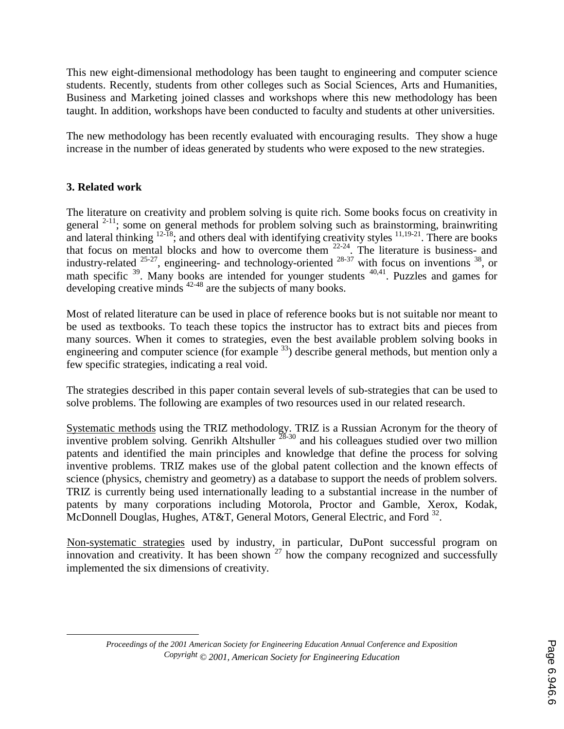This new eight-dimensional methodology has been taught to engineering and computer science students. Recently, students from other colleges such as Social Sciences, Arts and Humanities, Business and Marketing joined classes and workshops where this new methodology has been taught. In addition, workshops have been conducted to faculty and students at other universities.

The new methodology has been recently evaluated with encouraging results. They show a huge increase in the number of ideas generated by students who were exposed to the new strategies.

## **3. Related work**

 $\overline{a}$ 

The literature on creativity and problem solving is quite rich. Some books focus on creativity in general  $2-11$ ; some on general methods for problem solving such as brainstorming, brainwriting and lateral thinking  $12\overline{18}$ ; and others deal with identifying creativity styles  $11,19-21$ . There are books that focus on mental blocks and how to overcome them  $22-24$ . The literature is business- and industry-related  $^{25-27}$ , engineering- and technology-oriented  $^{28-37}$  with focus on inventions  $^{38}$ , or math specific <sup>39</sup>. Many books are intended for younger students <sup>40,41</sup>. Puzzles and games for developing creative minds <sup>42-48</sup> are the subjects of many books.

Most of related literature can be used in place of reference books but is not suitable nor meant to be used as textbooks. To teach these topics the instructor has to extract bits and pieces from many sources. When it comes to strategies, even the best available problem solving books in engineering and computer science (for example  $^{33}$ ) describe general methods, but mention only a few specific strategies, indicating a real void.

The strategies described in this paper contain several levels of sub-strategies that can be used to solve problems. The following are examples of two resources used in our related research.

Systematic methods using the TRIZ methodology. TRIZ is a Russian Acronym for the theory of inventive problem solving. Genrikh Altshuller  $^{28-30}$  and his colleagues studied over two million patents and identified the main principles and knowledge that define the process for solving inventive problems. TRIZ makes use of the global patent collection and the known effects of science (physics, chemistry and geometry) as a database to support the needs of problem solvers. TRIZ is currently being used internationally leading to a substantial increase in the number of patents by many corporations including Motorola, Proctor and Gamble, Xerox, Kodak, McDonnell Douglas, Hughes, AT&T, General Motors, General Electric, and Ford <sup>32</sup>.

Non-systematic strategies used by industry, in particular, DuPont successful program on innovation and creativity. It has been shown  $27$  how the company recognized and successfully implemented the six dimensions of creativity.

*Proceedings of the 2001 American Society for Engineering Education Annual Conference and Exposition Copyright © 2001, American Society for Engineering Education*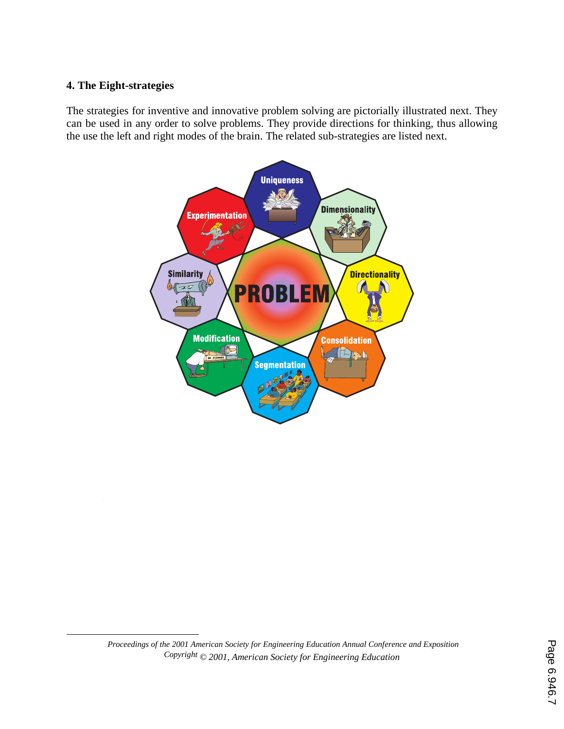#### **4. The Eight-strategies**

The strategies for inventive and innovative problem solving are pictorially illustrated next. They can be used in any order to solve problems. They provide directions for thinking, thus allowing the use the left and right modes of the brain. The related sub-strategies are listed next.



 <sup>7</sup> *Proceedings of the 2001 American Society for Engineering Education Annual Conference and Exposition Copyright © 2001, American Society for Engineering Education*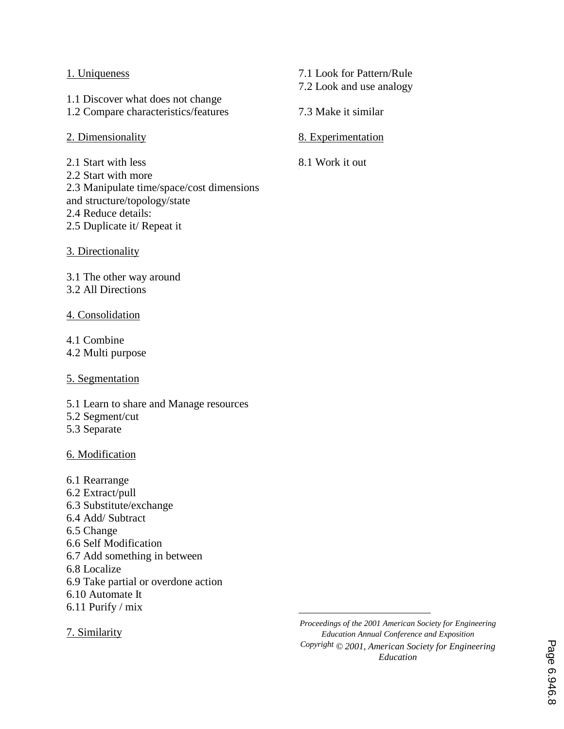#### 1. Uniqueness

1.1 Discover what does not change 1.2 Compare characteristics/features

- 2. Dimensionality
- 2.1 Start with less
- 2.2 Start with more
- 2.3 Manipulate time/space/cost dimensions
- and structure/topology/state
- 2.4 Reduce details:
- 2.5 Duplicate it/ Repeat it
- 3. Directionality

3.1 The other way around 3.2 All Directions

#### 4. Consolidation

4.1 Combine

4.2 Multi purpose

- 5. Segmentation
- 5.1 Learn to share and Manage resources
- 5.2 Segment/cut
- 5.3 Separate

#### 6. Modification

6.1 Rearrange 6.2 Extract/pull 6.3 Substitute/exchange 6.4 Add/ Subtract 6.5 Change 6.6 Self Modification 6.7 Add something in between 6.8 Localize 6.9 Take partial or overdone action 6.10 Automate It 6.11 Purify / mix

7. Similarity

 $\overline{a}$ *Proceedings of the 2001 American Society for Engineering Education Annual Conference and Exposition Copyright © 2001, American Society for Engineering Education*

7.1 Look for Pattern/Rule

- 7.2 Look and use analogy
- 7.3 Make it similar
- 8. Experimentation
- 8.1 Work it out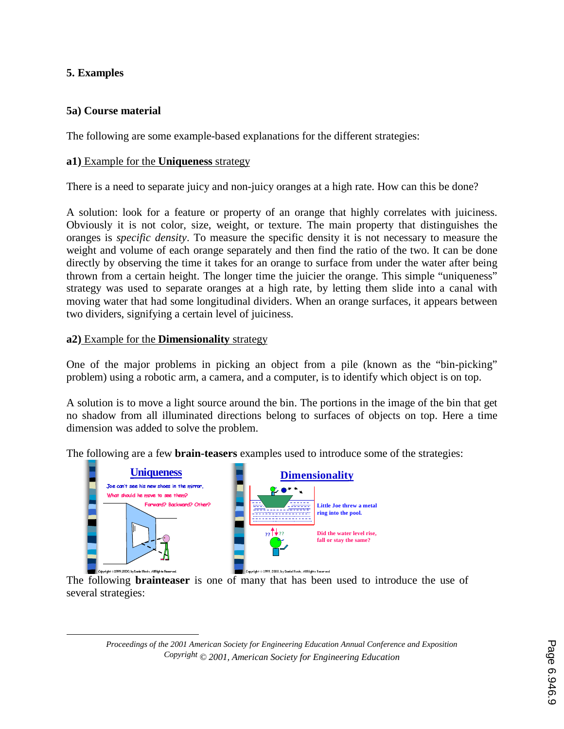### **5. Examples**

 $\overline{a}$ 

### **5a) Course material**

The following are some example-based explanations for the different strategies:

#### **a1)** Example for the **Uniqueness** strategy

There is a need to separate juicy and non-juicy oranges at a high rate. How can this be done?

A solution: look for a feature or property of an orange that highly correlates with juiciness. Obviously it is not color, size, weight, or texture. The main property that distinguishes the oranges is *specific density*. To measure the specific density it is not necessary to measure the weight and volume of each orange separately and then find the ratio of the two. It can be done directly by observing the time it takes for an orange to surface from under the water after being thrown from a certain height. The longer time the juicier the orange. This simple "uniqueness" strategy was used to separate oranges at a high rate, by letting them slide into a canal with moving water that had some longitudinal dividers. When an orange surfaces, it appears between two dividers, signifying a certain level of juiciness.

#### **a2)** Example for the **Dimensionality** strategy

One of the major problems in picking an object from a pile (known as the "bin-picking" problem) using a robotic arm, a camera, and a computer, is to identify which object is on top.

A solution is to move a light source around the bin. The portions in the image of the bin that get no shadow from all illuminated directions belong to surfaces of objects on top. Here a time dimension was added to solve the problem.

The following are a few **brain-teasers** examples used to introduce some of the strategies:



The following **brainteaser** is one of many that has been used to introduce the use of several strategies: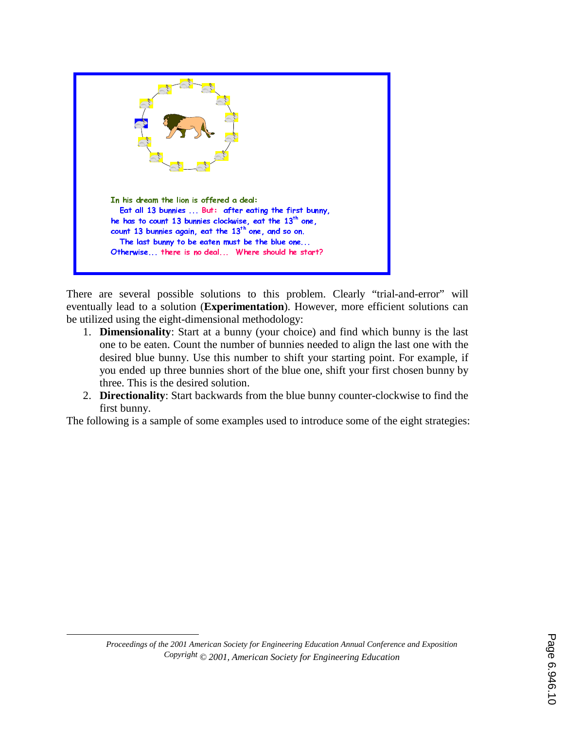

There are several possible solutions to this problem. Clearly "trial-and-error" will eventually lead to a solution (**Experimentation**). However, more efficient solutions can be utilized using the eight-dimensional methodology:

- 1. **Dimensionality**: Start at a bunny (your choice) and find which bunny is the last one to be eaten. Count the number of bunnies needed to align the last one with the desired blue bunny. Use this number to shift your starting point. For example, if you ended up three bunnies short of the blue one, shift your first chosen bunny by three. This is the desired solution.
- 2. **Directionality**: Start backwards from the blue bunny counter-clockwise to find the first bunny.

The following is a sample of some examples used to introduce some of the eight strategies:

 $\overline{a}$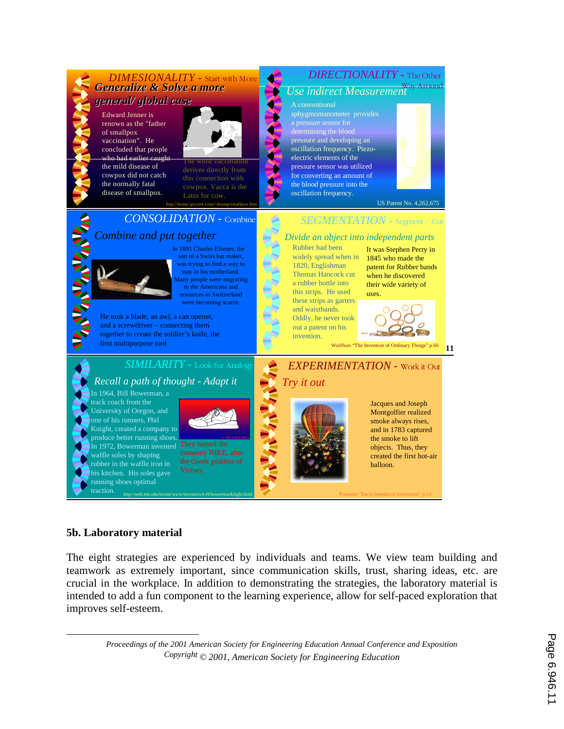

### **5b. Laboratory material**

 $\overline{a}$ 

The eight strategies are experienced by individuals and teams. We view team building and teamwork as extremely important, since communication skills, trust, sharing ideas, etc. are crucial in the workplace. In addition to demonstrating the strategies, the laboratory material is intended to add a fun component to the learning experience, allow for self-paced exploration that improves self-esteem.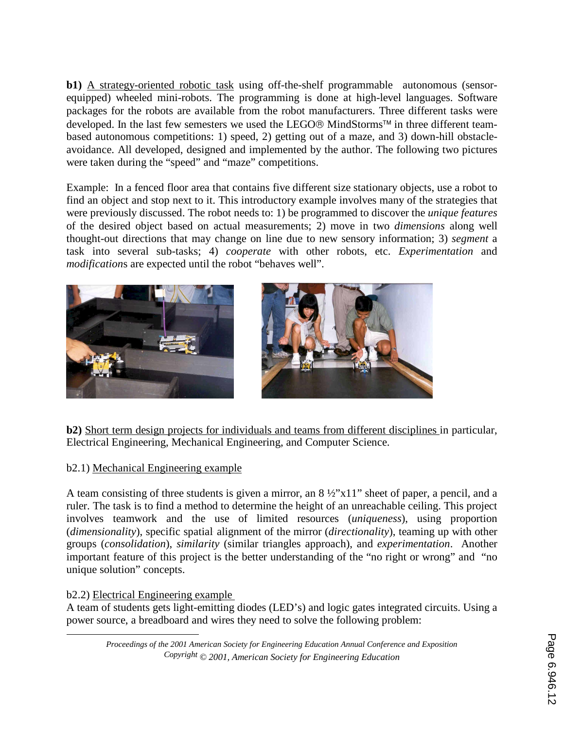**b1)** A strategy-oriented robotic task using off-the-shelf programmable autonomous (sensorequipped) wheeled mini-robots. The programming is done at high-level languages. Software packages for the robots are available from the robot manufacturers. Three different tasks were developed. In the last few semesters we used the LEGO<sup>®</sup> MindStorms<sup>™</sup> in three different teambased autonomous competitions: 1) speed, 2) getting out of a maze, and 3) down-hill obstacleavoidance. All developed, designed and implemented by the author. The following two pictures were taken during the "speed" and "maze" competitions.

Example: In a fenced floor area that contains five different size stationary objects, use a robot to find an object and stop next to it. This introductory example involves many of the strategies that were previously discussed. The robot needs to: 1) be programmed to discover the *unique features* of the desired object based on actual measurements; 2) move in two *dimensions* along well thought-out directions that may change on line due to new sensory information; 3) *segment* a task into several sub-tasks; 4) *cooperate* with other robots, etc. *Experimentation* and *modification*s are expected until the robot "behaves well".



**b2)** Short term design projects for individuals and teams from different disciplines in particular, Electrical Engineering, Mechanical Engineering, and Computer Science.

## b2.1) Mechanical Engineering example

A team consisting of three students is given a mirror, an  $8\frac{1}{2}$  x11" sheet of paper, a pencil, and a ruler. The task is to find a method to determine the height of an unreachable ceiling. This project involves teamwork and the use of limited resources (*uniqueness*), using proportion (*dimensionality*), specific spatial alignment of the mirror (*directionality*), teaming up with other groups (*consolidation*), *similarity* (similar triangles approach), and *experimentation*. Another important feature of this project is the better understanding of the "no right or wrong" and "no unique solution" concepts.

## b2.2) Electrical Engineering example

 $\overline{a}$ 

A team of students gets light-emitting diodes (LED's) and logic gates integrated circuits. Using a power source, a breadboard and wires they need to solve the following problem:

*Proceedings of the 2001 American Society for Engineering Education Annual Conference and Exposition Copyright © 2001, American Society for Engineering Education*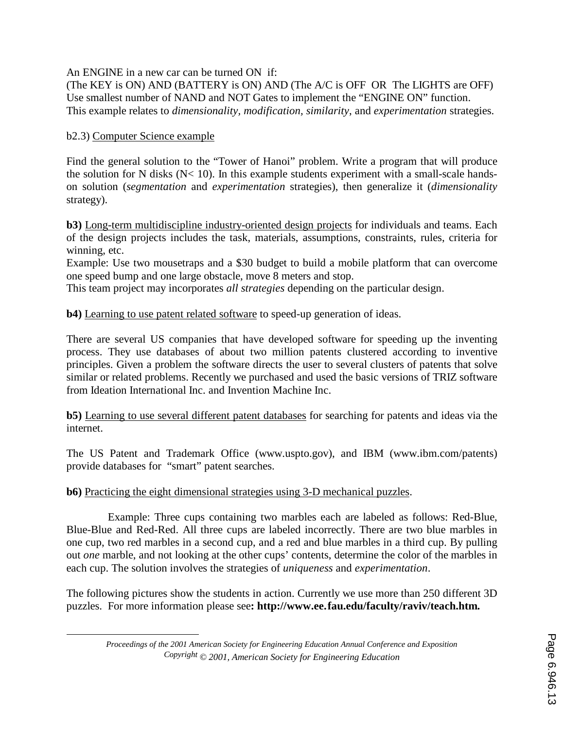An ENGINE in a new car can be turned ON if:

(The KEY is ON) AND (BATTERY is ON) AND (The A/C is OFF OR The LIGHTS are OFF) Use smallest number of NAND and NOT Gates to implement the "ENGINE ON" function. This example relates to *dimensionality, modification, similarity*, and *experimentation* strategies.

### b2.3) Computer Science example

 $\overline{a}$ 

Find the general solution to the "Tower of Hanoi" problem. Write a program that will produce the solution for N disks  $(N< 10)$ . In this example students experiment with a small-scale handson solution (*segmentation* and *experimentation* strategies), then generalize it (*dimensionality* strategy).

**b3)** Long-term multidiscipline industry-oriented design projects for individuals and teams. Each of the design projects includes the task, materials, assumptions, constraints, rules, criteria for winning, etc.

Example: Use two mousetraps and a \$30 budget to build a mobile platform that can overcome one speed bump and one large obstacle, move 8 meters and stop.

This team project may incorporates *all strategies* depending on the particular design.

**b4)** Learning to use patent related software to speed-up generation of ideas.

There are several US companies that have developed software for speeding up the inventing process. They use databases of about two million patents clustered according to inventive principles. Given a problem the software directs the user to several clusters of patents that solve similar or related problems. Recently we purchased and used the basic versions of TRIZ software from Ideation International Inc. and Invention Machine Inc.

**b5)** Learning to use several different patent databases for searching for patents and ideas via the internet.

The US Patent and Trademark Office (www.uspto.gov), and IBM (www.ibm.com/patents) provide databases for "smart" patent searches.

### **b6)** Practicing the eight dimensional strategies using 3-D mechanical puzzles.

 Example: Three cups containing two marbles each are labeled as follows: Red-Blue, Blue-Blue and Red-Red. All three cups are labeled incorrectly. There are two blue marbles in one cup, two red marbles in a second cup, and a red and blue marbles in a third cup. By pulling out *one* marble, and not looking at the other cups' contents, determine the color of the marbles in each cup. The solution involves the strategies of *uniqueness* and *experimentation*.

The following pictures show the students in action. Currently we use more than 250 different 3D puzzles. For more information please see**: http://www.ee.**13**fau.edu/faculty/raviv/teach.htm.** 

*Proceedings of the 2001 American Society for Engineering Education Annual Conference and Exposition Copyright © 2001, American Society for Engineering Education*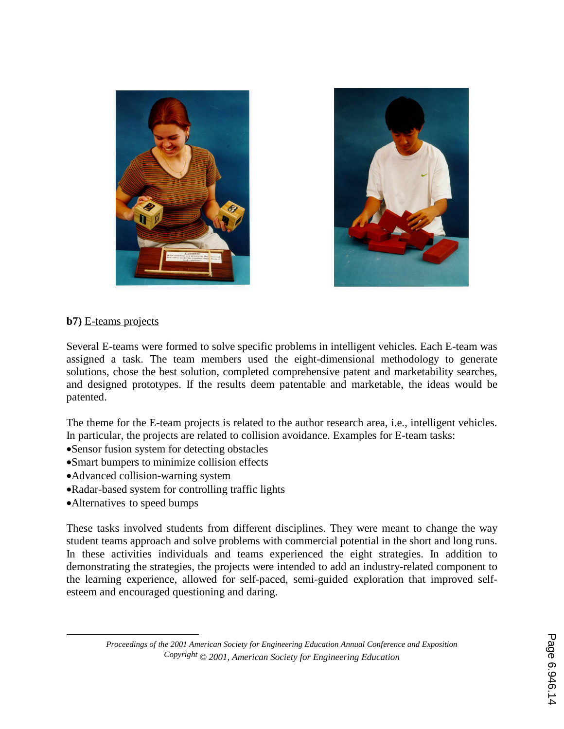



#### **b7)** E-teams projects

Several E-teams were formed to solve specific problems in intelligent vehicles. Each E-team was assigned a task. The team members used the eight-dimensional methodology to generate solutions, chose the best solution, completed comprehensive patent and marketability searches, and designed prototypes. If the results deem patentable and marketable, the ideas would be patented.

The theme for the E-team projects is related to the author research area, i.e., intelligent vehicles. In particular, the projects are related to collision avoidance. Examples for E-team tasks:

- •Sensor fusion system for detecting obstacles
- •Smart bumpers to minimize collision effects
- •Advanced collision-warning system
- •Radar-based system for controlling traffic lights
- •Alternatives to speed bumps

 $\overline{a}$ 

These tasks involved students from different disciplines. They were meant to change the way student teams approach and solve problems with commercial potential in the short and long runs. In these activities individuals and teams experienced the eight strategies. In addition to demonstrating the strategies, the projects were intended to add an industry-related component to the learning experience, allowed for self-paced, semi-guided exploration that improved selfesteem and encouraged questioning and daring.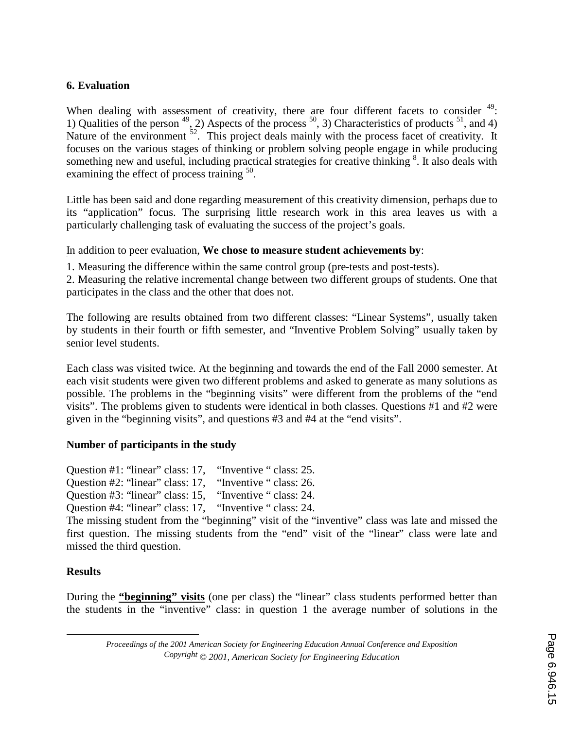### **6. Evaluation**

When dealing with assessment of creativity, there are four different facets to consider  $49$ : 1) Qualities of the person  $^{49}$ , 2) Aspects of the process  $^{50}$ , 3) Characteristics of products  $^{51}$ , and 4) Nature of the environment <sup>52</sup>. This project deals mainly with the process facet of creativity. It focuses on the various stages of thinking or problem solving people engage in while producing something new and useful, including practical strategies for creative thinking <sup>8</sup>. It also deals with examining the effect of process training  $50$ .

Little has been said and done regarding measurement of this creativity dimension, perhaps due to its "application" focus. The surprising little research work in this area leaves us with a particularly challenging task of evaluating the success of the project's goals.

In addition to peer evaluation, **We chose to measure student achievements by**:

1. Measuring the difference within the same control group (pre-tests and post-tests).

2. Measuring the relative incremental change between two different groups of students. One that participates in the class and the other that does not.

The following are results obtained from two different classes: "Linear Systems", usually taken by students in their fourth or fifth semester, and "Inventive Problem Solving" usually taken by senior level students.

Each class was visited twice. At the beginning and towards the end of the Fall 2000 semester. At each visit students were given two different problems and asked to generate as many solutions as possible. The problems in the "beginning visits" were different from the problems of the "end visits". The problems given to students were identical in both classes. Questions #1 and #2 were given in the "beginning visits", and questions #3 and #4 at the "end visits".

### **Number of participants in the study**

Question #1: "linear" class: 17, "Inventive " class: 25. Question #2: "linear" class: 17, "Inventive " class: 26. Question #3: "linear" class: 15, "Inventive " class: 24. Question #4: "linear" class: 17, "Inventive " class: 24.

The missing student from the "beginning" visit of the "inventive" class was late and missed the first question. The missing students from the "end" visit of the "linear" class were late and

## **Results**

 $\overline{a}$ 

missed the third question.

During the **"beginning" visits** (one per class) the "linear" class students performed better than the students in the "inventive" class: in question 1 the average number of solutions in the

*Proceedings of the 2001 American Society for Engineering Education Annual Conference and Exposition Copyright © 2001, American Society for Engineering Education*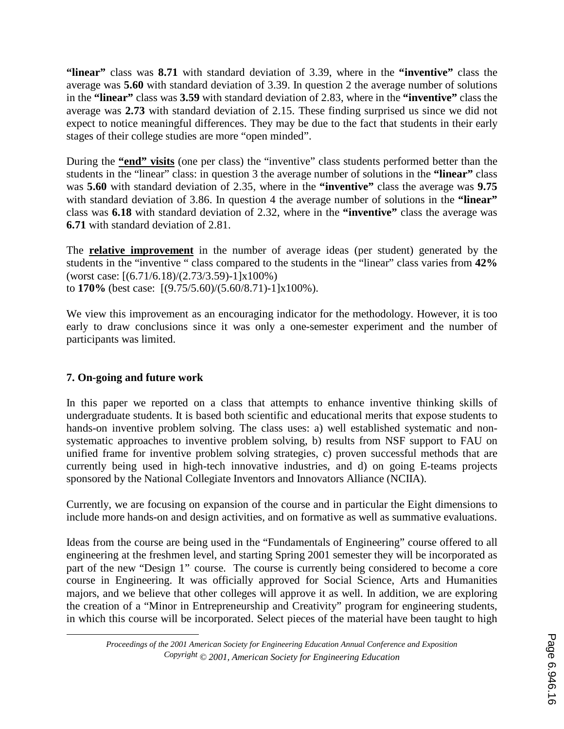**"linear"** class was **8.71** with standard deviation of 3.39, where in the **"inventive"** class the average was **5.60** with standard deviation of 3.39. In question 2 the average number of solutions in the **"linear"** class was **3.59** with standard deviation of 2.83, where in the **"inventive"** class the average was **2.73** with standard deviation of 2.15. These finding surprised us since we did not expect to notice meaningful differences. They may be due to the fact that students in their early stages of their college studies are more "open minded".

During the **"end" visits** (one per class) the "inventive" class students performed better than the students in the "linear" class: in question 3 the average number of solutions in the **"linear"** class was **5.60** with standard deviation of 2.35, where in the **"inventive"** class the average was **9.75** with standard deviation of 3.86. In question 4 the average number of solutions in the **"linear"** class was **6.18** with standard deviation of 2.32, where in the **"inventive"** class the average was **6.71** with standard deviation of 2.81.

The **relative improvement** in the number of average ideas (per student) generated by the students in the "inventive " class compared to the students in the "linear" class varies from **42%** (worst case: [(6.71/6.18)/(2.73/3.59)-1]x100%) to **170%** (best case: [(9.75/5.60)/(5.60/8.71)-1]x100%).

We view this improvement as an encouraging indicator for the methodology. However, it is too early to draw conclusions since it was only a one-semester experiment and the number of participants was limited.

## **7. On-going and future work**

 $\overline{a}$ 

In this paper we reported on a class that attempts to enhance inventive thinking skills of undergraduate students. It is based both scientific and educational merits that expose students to hands-on inventive problem solving. The class uses: a) well established systematic and nonsystematic approaches to inventive problem solving, b) results from NSF support to FAU on unified frame for inventive problem solving strategies, c) proven successful methods that are currently being used in high-tech innovative industries, and d) on going E-teams projects sponsored by the National Collegiate Inventors and Innovators Alliance (NCIIA).

Currently, we are focusing on expansion of the course and in particular the Eight dimensions to include more hands-on and design activities, and on formative as well as summative evaluations.

Ideas from the course are being used in the "Fundamentals of Engineering" course offered to all engineering at the freshmen level, and starting Spring 2001 semester they will be incorporated as part of the new "Design 1" course. The course is currently being considered to become a core course in Engineering. It was officially approved for Social Science, Arts and Humanities majors, and we believe that other colleges will approve it as well. In addition, we are exploring the creation of a "Minor in Entrepreneurship and Creativity" program for engineering students, in which this course will be incorporated. Select pieces of the material have been taught to high

*Proceedings of the 2001 American Society for Engineering Education Annual Conference and Exposition Copyright © 2001, American Society for Engineering Education*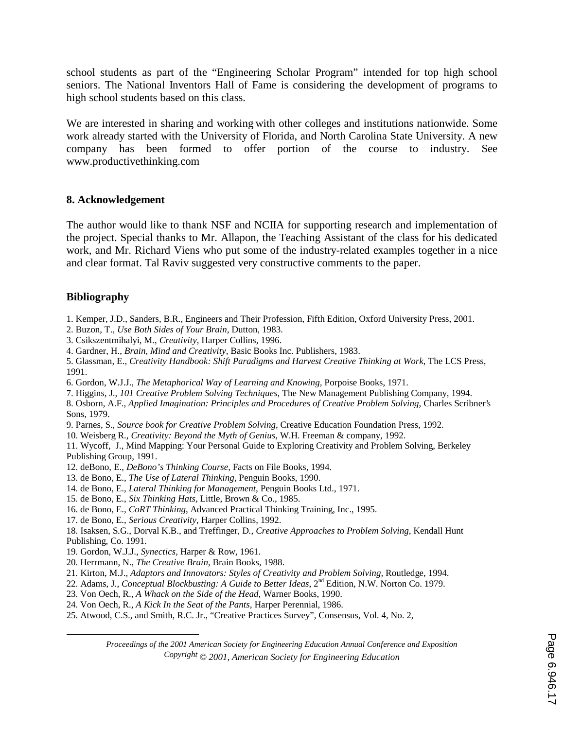school students as part of the "Engineering Scholar Program" intended for top high school seniors. The National Inventors Hall of Fame is considering the development of programs to high school students based on this class.

We are interested in sharing and working with other colleges and institutions nationwide. Some work already started with the University of Florida, and North Carolina State University. A new company has been formed to offer portion of the course to industry. See www.productivethinking.com

#### **8. Acknowledgement**

The author would like to thank NSF and NCIIA for supporting research and implementation of the project. Special thanks to Mr. Allapon, the Teaching Assistant of the class for his dedicated work, and Mr. Richard Viens who put some of the industry-related examples together in a nice and clear format. Tal Raviv suggested very constructive comments to the paper.

#### **Bibliography**

 $\overline{a}$ 

- 1. Kemper, J.D., Sanders, B.R., Engineers and Their Profession, Fifth Edition, Oxford University Press, 2001.
- 2. Buzon, T., *Use Both Sides of Your Brain*, Dutton, 1983.
- 3. Csikszentmihalyi, M., *Creativity*, Harper Collins, 1996.
- 4. Gardner, H., *Brain, Mind and Creativity*, Basic Books Inc. Publishers, 1983.

5. Glassman, E., *Creativity Handbook: Shift Paradigms and Harvest Creative Thinking at Work*, The LCS Press, 1991.

6. Gordon, W.J.J., *The Metaphorical Way of Learning and Knowing,* Porpoise Books, 1971.

7. Higgins, J., *101 Creative Problem Solving Techniques*, The New Management Publishing Company, 1994.

8. Osborn, A.F., *Applied Imagination: Principles and Procedures of Creative Problem Solving*, Charles Scribner's Sons, 1979.

- 9. Parnes, S., *Source book for Creative Problem Solving*, Creative Education Foundation Press, 1992.
- 10. Weisberg R., *Creativity: Beyond the Myth of Genius*, W.H. Freeman & company, 1992.

11. Wycoff, J., Mind Mapping: Your Personal Guide to Exploring Creativity and Problem Solving, Berkeley Publishing Group, 1991.

- 12. deBono, E., *DeBono's Thinking Course*, Facts on File Books, 1994.
- 13. de Bono, E., *The Use of Lateral Thinking,* Penguin Books, 1990.
- 14. de Bono, E., *Lateral Thinking for Management*, Penguin Books Ltd., 1971.
- 15. de Bono, E., *Six Thinking Hats,* Little, Brown & Co., 1985.
- 16. de Bono, E., *CoRT Thinking*, Advanced Practical Thinking Training, Inc., 1995.
- 17. de Bono, E., *Serious Creativity*, Harper Collins, 1992.

18. Isaksen, S.G., Dorval K.B., and Treffinger, D*., Creative Approaches to Problem Solving*, Kendall Hunt Publishing, Co. 1991.

- 19. Gordon, W.J.J., *Synectics,* Harper & Row, 1961.
- 20. Herrmann, N., *The Creative Brain*, Brain Books, 1988.
- 21. Kirton, M.J., *Adaptors and Innovators: Styles of Creativity and Problem Solving,* Routledge, 1994.
- 22. Adams, J., *Conceptual Blockbusting: A Guide to Better Ideas*, 2nd Edition, N.W. Norton Co. 1979.
- 23. Von Oech, R., *A Whack on the Side of the Head*, Warner Books, 1990.
- 24. Von Oech, R., *A Kick In the Seat of the Pants*, Harper Perennial, 1986.
- 25. Atwood, C.S., and Smith, R.C. Jr., "Creative Practices Survey", Consensus, Vol. 4, No. 2,